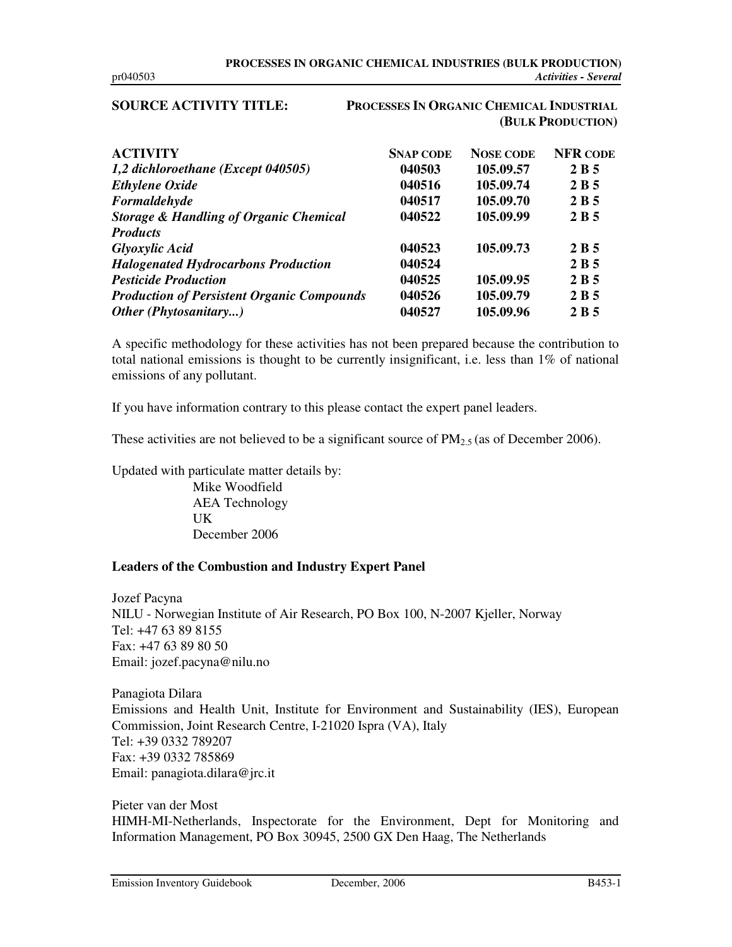## **SOURCE ACTIVITY TITLE: PROCESSES IN ORGANIC CHEMICAL INDUSTRIAL (BULK PRODUCTION)**

| <b>ACTIVITY</b>                                   | <b>SNAP CODE</b> | <b>NOSE CODE</b> | <b>NFR CODE</b> |
|---------------------------------------------------|------------------|------------------|-----------------|
| 1,2 dichloroethane (Except 040505)                | 040503           | 105.09.57        | 2 B 5           |
| <b>Ethylene Oxide</b>                             | 040516           | 105.09.74        | 2 B 5           |
| Formaldehyde                                      | 040517           | 105.09.70        | 2B5             |
| <b>Storage &amp; Handling of Organic Chemical</b> | 040522           | 105.09.99        | 2 B 5           |
| <b>Products</b>                                   |                  |                  |                 |
| <b>Glyoxylic Acid</b>                             | 040523           | 105.09.73        | 2 B 5           |
| <b>Halogenated Hydrocarbons Production</b>        | 040524           |                  | 2B5             |
| <b>Pesticide Production</b>                       | 040525           | 105.09.95        | 2 B 5           |
| <b>Production of Persistent Organic Compounds</b> | 040526           | 105.09.79        | 2 B 5           |
| Other (Phytosanitary)                             | 040527           | 105.09.96        | 2 B 5           |

A specific methodology for these activities has not been prepared because the contribution to total national emissions is thought to be currently insignificant, i.e. less than 1% of national emissions of any pollutant.

If you have information contrary to this please contact the expert panel leaders.

These activities are not believed to be a significant source of  $PM_{2.5}$  (as of December 2006).

Updated with particulate matter details by:

Mike Woodfield AEA Technology UK December 2006

## **Leaders of the Combustion and Industry Expert Panel**

Jozef Pacyna NILU - Norwegian Institute of Air Research, PO Box 100, N-2007 Kjeller, Norway Tel: +47 63 89 8155 Fax: +47 63 89 80 50 Email: jozef.pacyna@nilu.no

Panagiota Dilara Emissions and Health Unit, Institute for Environment and Sustainability (IES), European Commission, Joint Research Centre, I-21020 Ispra (VA), Italy Tel: +39 0332 789207 Fax: +39 0332 785869 Email: panagiota.dilara@jrc.it

Pieter van der Most HIMH-MI-Netherlands, Inspectorate for the Environment, Dept for Monitoring and Information Management, PO Box 30945, 2500 GX Den Haag, The Netherlands

Emission Inventory Guidebook December, 2006 B453-1